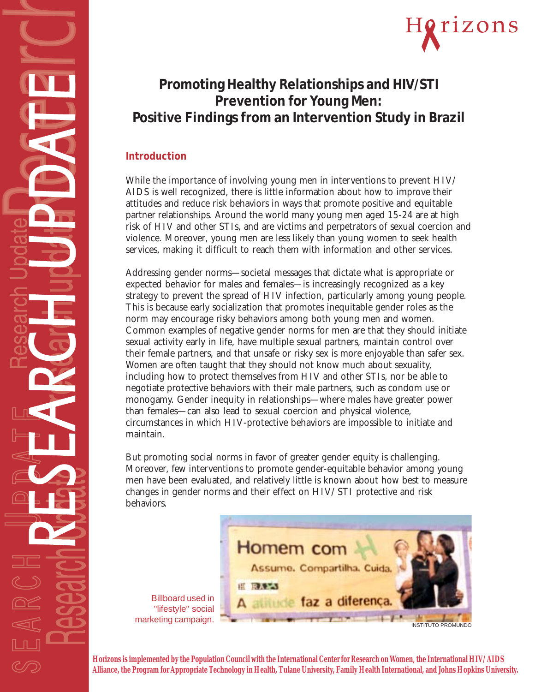

# **Promoting Healthy Relationships and HIV/STI Prevention for Young Men: Positive Findings from an Intervention Study in Brazil**

# **Introduction**

While the importance of involving young men in interventions to prevent HIV/ AIDS is well recognized, there is little information about how to improve their attitudes and reduce risk behaviors in ways that promote positive and equitable partner relationships. Around the world many young men aged 15-24 are at high risk of HIV and other STIs, and are victims and perpetrators of sexual coercion and violence. Moreover, young men are less likely than young women to seek health services, making it difficult to reach them with information and other services.

Addressing gender norms—societal messages that dictate what is appropriate or expected behavior for males and females—is increasingly recognized as a key strategy to prevent the spread of HIV infection, particularly among young people. This is because early socialization that promotes inequitable gender roles as the norm may encourage risky behaviors among both young men and women. Common examples of negative gender norms for men are that they should initiate sexual activity early in life, have multiple sexual partners, maintain control over their female partners, and that unsafe or risky sex is more enjoyable than safer sex. Women are often taught that they should not know much about sexuality, including how to protect themselves from HIV and other STIs, nor be able to negotiate protective behaviors with their male partners, such as condom use or monogamy. Gender inequity in relationships—where males have greater power than females—can also lead to sexual coercion and physical violence, circumstances in which HIV-protective behaviors are impossible to initiate and maintain.

But promoting social norms in favor of greater gender equity is challenging. Moreover, few interventions to promote gender-equitable behavior among young men have been evaluated, and relatively little is known about how best to measure changes in gender norms and their effect on HIV/STI protective and risk behaviors.



Billboard used in "lifestyle" social

**Horizons is implemented by the Population Council with the International Center for Research on Women, the International HIV/AIDS Alliance, the Program for Appropriate Technology in Health, Tulane University, Family Health International, and Johns Hopkins University.**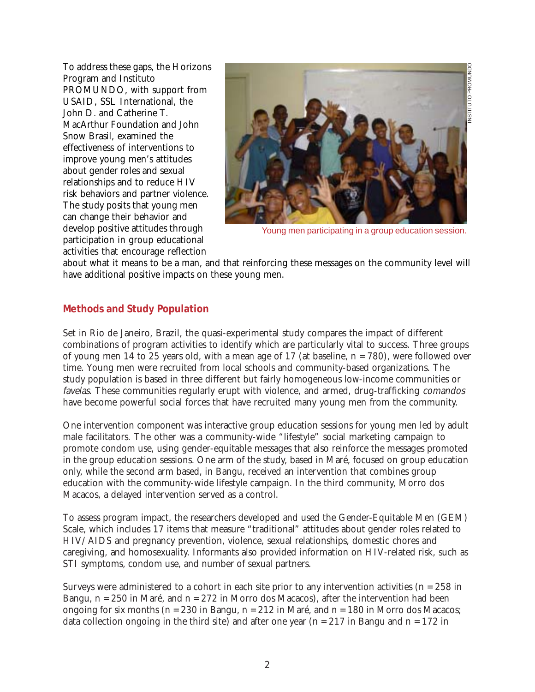To address these gaps, the Horizons Program and Instituto PROMUNDO, with support from USAID, SSL International, the John D. and Catherine T. MacArthur Foundation and John Snow Brasil, examined the effectiveness of interventions to improve young men's attitudes about gender roles and sexual relationships and to reduce HIV risk behaviors and partner violence. The study posits that young men can change their behavior and develop positive attitudes through participation in group educational activities that encourage reflection



Young men participating in a group education session.

about what it means to be a man, and that reinforcing these messages on the community level will have additional positive impacts on these young men.

#### **Methods and Study Population**

Set in Rio de Janeiro, Brazil, the quasi-experimental study compares the impact of different combinations of program activities to identify which are particularly vital to success. Three groups of young men 14 to 25 years old, with a mean age of 17 (at baseline, n = 780), were followed over time. Young men were recruited from local schools and community-based organizations. The study population is based in three different but fairly homogeneous low-income communities or favelas. These communities regularly erupt with violence, and armed, drug-trafficking comandos have become powerful social forces that have recruited many young men from the community.

One intervention component was interactive group education sessions for young men led by adult male facilitators. The other was a community-wide "lifestyle" social marketing campaign to promote condom use, using gender-equitable messages that also reinforce the messages promoted in the group education sessions. One arm of the study, based in Maré, focused on group education only, while the second arm based, in Bangu, received an intervention that combines group education with the community-wide lifestyle campaign. In the third community, Morro dos Macacos, a delayed intervention served as a control.

To assess program impact, the researchers developed and used the Gender-Equitable Men (GEM) Scale, which includes 17 items that measure "traditional" attitudes about gender roles related to HIV/AIDS and pregnancy prevention, violence, sexual relationships, domestic chores and caregiving, and homosexuality. Informants also provided information on HIV-related risk, such as STI symptoms, condom use, and number of sexual partners.

Surveys were administered to a cohort in each site prior to any intervention activities ( $n = 258$  in Bangu,  $n = 250$  in Maré, and  $n = 272$  in Morro dos Macacos), after the intervention had been ongoing for six months ( $n = 230$  in Bangu,  $n = 212$  in Maré, and  $n = 180$  in Morro dos Macacos; data collection ongoing in the third site) and after one year ( $n = 217$  in Bangu and  $n = 172$  in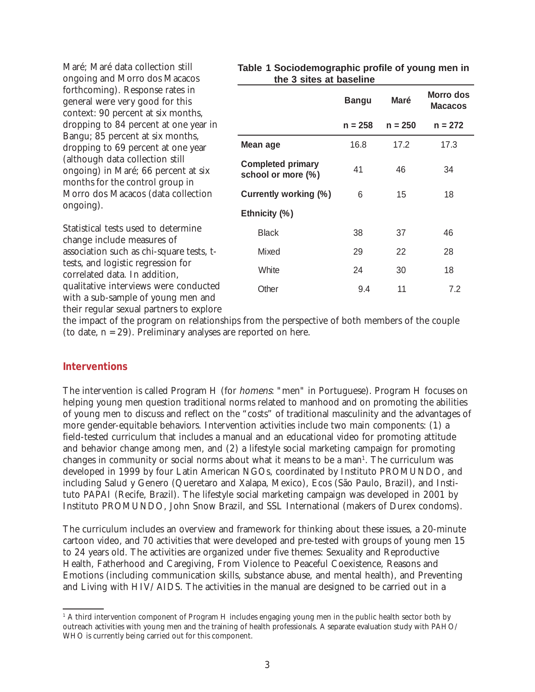| ongoing and Morro dos Macacos                                                                                                                                                                                                                                                                                                                                                               | the 3 sites at baseline                        |              |             |                                    |
|---------------------------------------------------------------------------------------------------------------------------------------------------------------------------------------------------------------------------------------------------------------------------------------------------------------------------------------------------------------------------------------------|------------------------------------------------|--------------|-------------|------------------------------------|
| forthcoming). Response rates in<br>general were very good for this<br>context: 90 percent at six months,<br>dropping to 84 percent at one year in<br>Bangu; 85 percent at six months,<br>dropping to 69 percent at one year<br>(although data collection still<br>ongoing) in Maré; 66 percent at six<br>months for the control group in<br>Morro dos Macacos (data collection<br>ongoing). |                                                | <b>Bangu</b> | <b>Maré</b> | <b>Morro dos</b><br><b>Macacos</b> |
|                                                                                                                                                                                                                                                                                                                                                                                             |                                                | $n = 258$    | $n = 250$   | $n = 272$                          |
|                                                                                                                                                                                                                                                                                                                                                                                             | Mean age                                       | 16.8         | 17.2        | 17.3                               |
|                                                                                                                                                                                                                                                                                                                                                                                             | <b>Completed primary</b><br>school or more (%) | 41           | 46          | 34                                 |
|                                                                                                                                                                                                                                                                                                                                                                                             | Currently working (%)                          | 6            | 15          | 18                                 |
|                                                                                                                                                                                                                                                                                                                                                                                             | Ethnicity (%)                                  |              |             |                                    |
| Statistical tests used to determine<br>change include measures of<br>association such as chi-square tests, t-<br>tests, and logistic regression for<br>correlated data. In addition,<br>qualitative interviews were conducted<br>with a sub-sample of young men and                                                                                                                         | <b>Black</b>                                   | 38           | 37          | 46                                 |
|                                                                                                                                                                                                                                                                                                                                                                                             | Mixed                                          | 29           | 22          | 28                                 |
|                                                                                                                                                                                                                                                                                                                                                                                             | White                                          | 24           | 30          | 18                                 |
|                                                                                                                                                                                                                                                                                                                                                                                             | Other                                          | 9.4          | 11          | 7.2                                |
| their regular sexual partners to explore<br>the impact of the program on relationships from the perspective of both members of the couple                                                                                                                                                                                                                                                   |                                                |              |             |                                    |

#### **Table 1 Sociodemographic profile of young men in the 3 sites at baseline**

(to date,  $n = 29$ ). Preliminary analyses are reported on here.

#### **Interventions**

Maré; Maré data collection still

The intervention is called Program H (for homens: "men" in Portuguese). Program H focuses on helping young men question traditional norms related to manhood and on promoting the abilities of young men to discuss and reflect on the "costs" of traditional masculinity and the advantages of more gender-equitable behaviors. Intervention activities include two main components: (1) a field-tested curriculum that includes a manual and an educational video for promoting attitude and behavior change among men, and (2) a lifestyle social marketing campaign for promoting changes in community or social norms about what it means to be a man<sup>1</sup>. The curriculum was developed in 1999 by four Latin American NGOs, coordinated by Instituto PROMUNDO, and including Salud y Genero (Queretaro and Xalapa, Mexico), Ecos (São Paulo, Brazil), and Instituto PAPAI (Recife, Brazil). The lifestyle social marketing campaign was developed in 2001 by Instituto PROMUNDO, John Snow Brazil, and SSL International (makers of Durex condoms).

The curriculum includes an overview and framework for thinking about these issues, a 20-minute cartoon video, and 70 activities that were developed and pre-tested with groups of young men 15 to 24 years old. The activities are organized under five themes: Sexuality and Reproductive Health, Fatherhood and Caregiving, From Violence to Peaceful Coexistence, Reasons and Emotions (including communication skills, substance abuse, and mental health), and Preventing and Living with HIV/AIDS. The activities in the manual are designed to be carried out in a

<sup>1</sup> A third intervention component of Program H includes engaging young men in the public health sector both by outreach activities with young men and the training of health professionals. A separate evaluation study with PAHO/ WHO is currently being carried out for this component.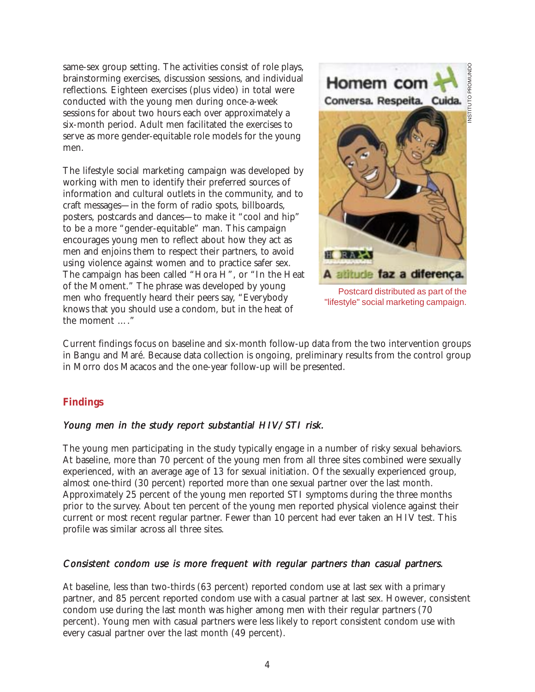same-sex group setting. The activities consist of role plays, brainstorming exercises, discussion sessions, and individual reflections. Eighteen exercises (plus video) in total were conducted with the young men during once-a-week sessions for about two hours each over approximately a six-month period. Adult men facilitated the exercises to serve as more gender-equitable role models for the young men.

The lifestyle social marketing campaign was developed by working with men to identify their preferred sources of information and cultural outlets in the community, and to craft messages—in the form of radio spots, billboards, posters, postcards and dances—to make it "cool and hip" to be a more "gender-equitable" man. This campaign encourages young men to reflect about how they act as men and enjoins them to respect their partners, to avoid using violence against women and to practice safer sex. The campaign has been called "Hora H", or "In the Heat of the Moment." The phrase was developed by young men who frequently heard their peers say, "Everybody knows that you should use a condom, but in the heat of the moment …."



Postcard distributed as part of the "lifestyle" social marketing campaign.

Current findings focus on baseline and six-month follow-up data from the two intervention groups in Bangu and Maré. Because data collection is ongoing, preliminary results from the control group in Morro dos Macacos and the one-year follow-up will be presented.

# **Findings**

## Young men in the study report substantial HIV/STI risk.

The young men participating in the study typically engage in a number of risky sexual behaviors. At baseline, more than 70 percent of the young men from all three sites combined were sexually experienced, with an average age of 13 for sexual initiation. Of the sexually experienced group, almost one-third (30 percent) reported more than one sexual partner over the last month. Approximately 25 percent of the young men reported STI symptoms during the three months prior to the survey. About ten percent of the young men reported physical violence against their current or most recent regular partner. Fewer than 10 percent had ever taken an HIV test. This profile was similar across all three sites.

#### Consistent condom use is more frequent with regular partners than casual partners.

At baseline, less than two-thirds (63 percent) reported condom use at last sex with a primary partner, and 85 percent reported condom use with a casual partner at last sex. However, consistent condom use during the last month was higher among men with their regular partners (70 percent). Young men with casual partners were less likely to report consistent condom use with every casual partner over the last month (49 percent).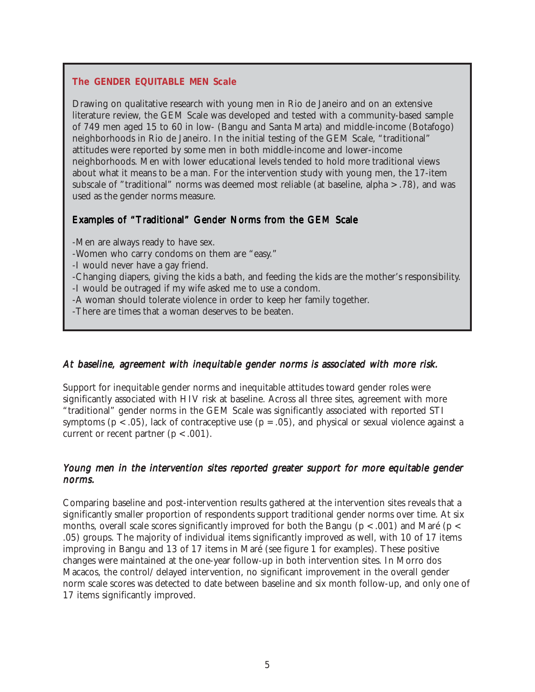#### **The GENDER EQUITABLE MEN Scale**

Drawing on qualitative research with young men in Rio de Janeiro and on an extensive literature review, the GEM Scale was developed and tested with a community-based sample of 749 men aged 15 to 60 in low- (Bangu and Santa Marta) and middle-income (Botafogo) neighborhoods in Rio de Janeiro. In the initial testing of the GEM Scale, "traditional" attitudes were reported by some men in both middle-income and lower-income neighborhoods. Men with lower educational levels tended to hold more traditional views about what it means to be a man. For the intervention study with young men, the 17-item subscale of "traditional" norms was deemed most reliable (at baseline, alpha > .78), and was used as the gender norms measure.

#### Examples of "Traditional" Gender Norms from the GEM Scale

-Men are always ready to have sex.

-Women who carry condoms on them are "easy."

-I would never have a gay friend.

-Changing diapers, giving the kids a bath, and feeding the kids are the mother's responsibility.

-I would be outraged if my wife asked me to use a condom.

-A woman should tolerate violence in order to keep her family together.

-There are times that a woman deserves to be beaten.

#### At baseline, agreement with inequitable gender norms is associated with more risk.

Support for inequitable gender norms and inequitable attitudes toward gender roles were significantly associated with HIV risk at baseline. Across all three sites, agreement with more "traditional" gender norms in the GEM Scale was significantly associated with reported STI symptoms ( $p < .05$ ), lack of contraceptive use ( $p = .05$ ), and physical or sexual violence against a current or recent partner  $(p < .001)$ .

#### Young men in the intervention sites reported greater support for more equitable gender norms.

Comparing baseline and post-intervention results gathered at the intervention sites reveals that a significantly smaller proportion of respondents support traditional gender norms over time. At six months, overall scale scores significantly improved for both the Bangu  $(p < .001)$  and Maré  $(p < .001)$ .05) groups. The majority of individual items significantly improved as well, with 10 of 17 items improving in Bangu and 13 of 17 items in Maré (see figure 1 for examples). These positive changes were maintained at the one-year follow-up in both intervention sites. In Morro dos Macacos, the control/delayed intervention, no significant improvement in the overall gender norm scale scores was detected to date between baseline and six month follow-up, and only one of 17 items significantly improved.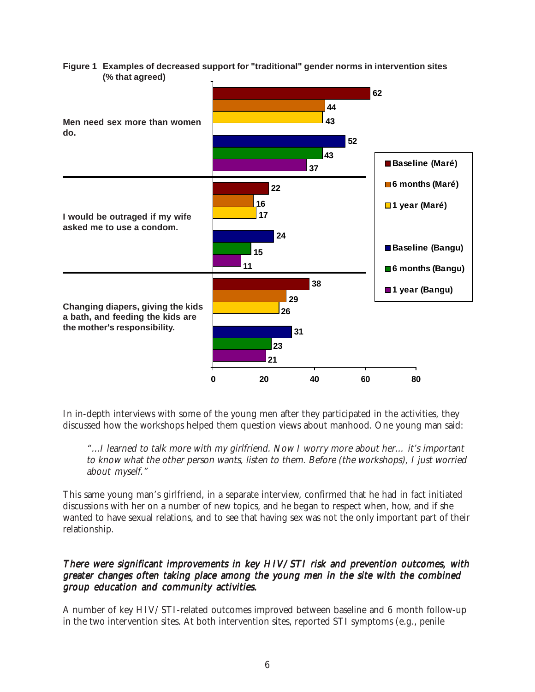



In in-depth interviews with some of the young men after they participated in the activities, they discussed how the workshops helped them question views about manhood. One young man said:

"...I learned to talk more with my girlfriend. Now I worry more about her… it's important to know what the other person wants, listen to them. Before (the workshops), I just worried about myself."

This same young man's girlfriend, in a separate interview, confirmed that he had in fact initiated discussions with her on a number of new topics, and he began to respect when, how, and if she wanted to have sexual relations, and to see that having sex was not the only important part of their relationship.

#### There were significant improvements in key HIV/STI risk and prevention outcomes, with greater changes often taking place among the young men in the site with the combined group education and community activities.

A number of key HIV/STI-related outcomes improved between baseline and 6 month follow-up in the two intervention sites. At both intervention sites, reported STI symptoms (e.g., penile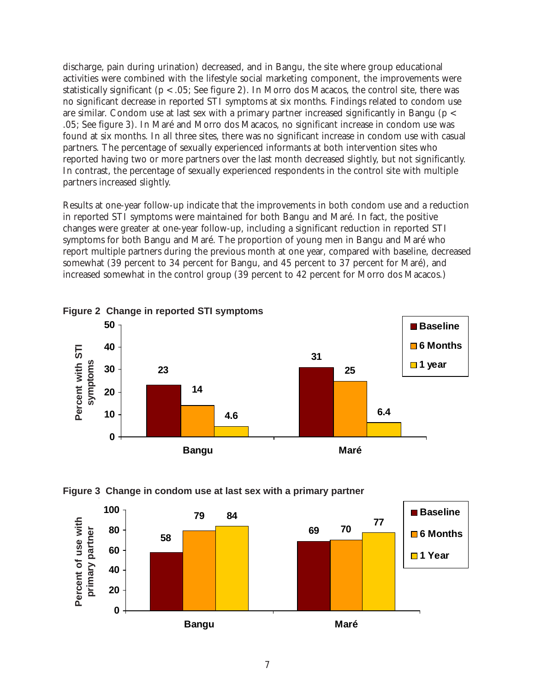discharge, pain during urination) decreased, and in Bangu, the site where group educational activities were combined with the lifestyle social marketing component, the improvements were statistically significant (p < .05; See figure 2). In Morro dos Macacos, the control site, there was no significant decrease in reported STI symptoms at six months. Findings related to condom use are similar. Condom use at last sex with a primary partner increased significantly in Bangu (p < .05; See figure 3). In Maré and Morro dos Macacos, no significant increase in condom use was found at six months. In all three sites, there was no significant increase in condom use with casual partners. The percentage of sexually experienced informants at both intervention sites who reported having two or more partners over the last month decreased slightly, but not significantly. In contrast, the percentage of sexually experienced respondents in the control site with multiple partners increased slightly.

Results at one-year follow-up indicate that the improvements in both condom use and a reduction in reported STI symptoms were maintained for both Bangu and Maré. In fact, the positive changes were greater at one-year follow-up, including a significant reduction in reported STI symptoms for both Bangu and Maré. The proportion of young men in Bangu and Maré who report multiple partners during the previous month at one year, compared with baseline, decreased somewhat (39 percent to 34 percent for Bangu, and 45 percent to 37 percent for Maré), and increased somewhat in the control group (39 percent to 42 percent for Morro dos Macacos.)







#### **Figure 3 Change in condom use at last sex with a primary partner**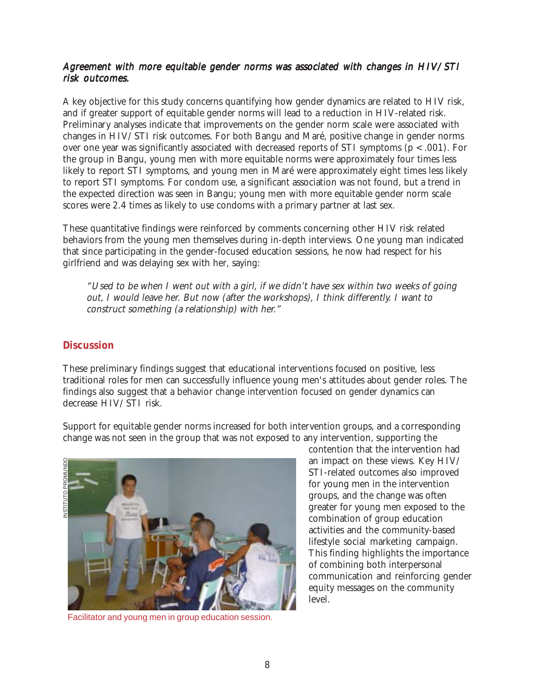# Agreement with more equitable gender norms was associated with changes in HIV/STI risk outcomes.

A key objective for this study concerns quantifying how gender dynamics are related to HIV risk, and if greater support of equitable gender norms will lead to a reduction in HIV-related risk. Preliminary analyses indicate that improvements on the gender norm scale were associated with changes in HIV/STI risk outcomes. For both Bangu and Maré, positive change in gender norms over one year was significantly associated with decreased reports of STI symptoms (p < .001). For the group in Bangu, young men with more equitable norms were approximately four times less likely to report STI symptoms, and young men in Maré were approximately eight times less likely to report STI symptoms. For condom use, a significant association was not found, but a trend in the expected direction was seen in Bangu; young men with more equitable gender norm scale scores were 2.4 times as likely to use condoms with a primary partner at last sex.

These quantitative findings were reinforced by comments concerning other HIV risk related behaviors from the young men themselves during in-depth interviews. One young man indicated that since participating in the gender-focused education sessions, he now had respect for his girlfriend and was delaying sex with her, saying:

"Used to be when I went out with a girl, if we didn't have sex within two weeks of going out, I would leave her. But now (after the workshops), I think differently. I want to construct something (a relationship) with her."

## **Discussion**

These preliminary findings suggest that educational interventions focused on positive, less traditional roles for men can successfully influence young men's attitudes about gender roles. The findings also suggest that a behavior change intervention focused on gender dynamics can decrease HIV/STI risk.

Support for equitable gender norms increased for both intervention groups, and a corresponding change was not seen in the group that was not exposed to any intervention, supporting the



Facilitator and young men in group education session.

contention that the intervention had an impact on these views. Key HIV/ STI-related outcomes also improved for young men in the intervention groups, and the change was often greater for young men exposed to the combination of group education activities and the community-based lifestyle social marketing campaign. This finding highlights the importance of combining both interpersonal communication and reinforcing gender equity messages on the community level.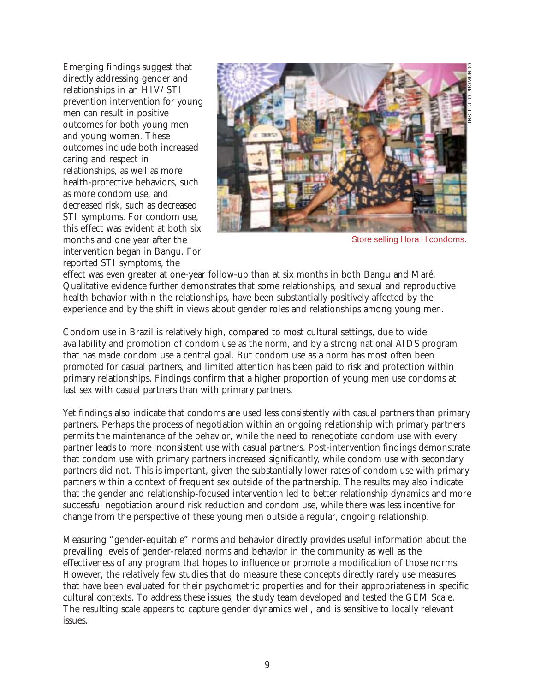Emerging findings suggest that directly addressing gender and relationships in an HIV/STI prevention intervention for young men can result in positive outcomes for both young men and young women. These outcomes include both increased caring and respect in relationships, as well as more health-protective behaviors, such as more condom use, and decreased risk, such as decreased STI symptoms. For condom use, this effect was evident at both six months and one year after the intervention began in Bangu. For reported STI symptoms, the



Store selling Hora H condoms.

effect was even greater at one-year follow-up than at six months in both Bangu and Maré. Qualitative evidence further demonstrates that some relationships, and sexual and reproductive health behavior within the relationships, have been substantially positively affected by the experience and by the shift in views about gender roles and relationships among young men.

Condom use in Brazil is relatively high, compared to most cultural settings, due to wide availability and promotion of condom use as the norm, and by a strong national AIDS program that has made condom use a central goal. But condom use as a norm has most often been promoted for casual partners, and limited attention has been paid to risk and protection within primary relationships. Findings confirm that a higher proportion of young men use condoms at last sex with casual partners than with primary partners.

Yet findings also indicate that condoms are used less consistently with casual partners than primary partners. Perhaps the process of negotiation within an ongoing relationship with primary partners permits the maintenance of the behavior, while the need to renegotiate condom use with every partner leads to more inconsistent use with casual partners. Post-intervention findings demonstrate that condom use with primary partners increased significantly, while condom use with secondary partners did not. This is important, given the substantially lower rates of condom use with primary partners within a context of frequent sex outside of the partnership. The results may also indicate that the gender and relationship-focused intervention led to better relationship dynamics and more successful negotiation around risk reduction and condom use, while there was less incentive for change from the perspective of these young men outside a regular, ongoing relationship.

Measuring "gender-equitable" norms and behavior directly provides useful information about the prevailing levels of gender-related norms and behavior in the community as well as the effectiveness of any program that hopes to influence or promote a modification of those norms. However, the relatively few studies that do measure these concepts directly rarely use measures that have been evaluated for their psychometric properties and for their appropriateness in specific cultural contexts. To address these issues, the study team developed and tested the GEM Scale. The resulting scale appears to capture gender dynamics well, and is sensitive to locally relevant issues.